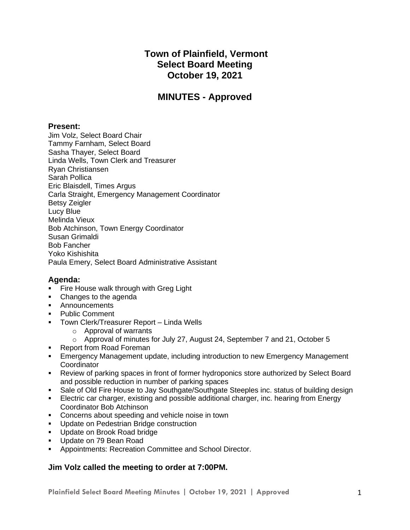# **Town of Plainfield, Vermont Select Board Meeting October 19, 2021**

# **MINUTES - Approved**

#### **Present:**

Jim Volz, Select Board Chair Tammy Farnham, Select Board Sasha Thayer, Select Board Linda Wells, Town Clerk and Treasurer Ryan Christiansen Sarah Pollica Eric Blaisdell, Times Argus Carla Straight, Emergency Management Coordinator Betsy Zeigler Lucy Blue Melinda Vieux Bob Atchinson, Town Energy Coordinator Susan Grimaldi Bob Fancher Yoko Kishishita Paula Emery, Select Board Administrative Assistant

## **Agenda:**

- **Fire House walk through with Greg Light**
- Changes to the agenda
- **■** Announcements
- Public Comment
- **Town Clerk/Treasurer Report Linda Wells** 
	- o Approval of warrants
	- $\circ$  Approval of minutes for July 27, August 24, September 7 and 21, October 5
- Report from Road Foreman
- **Emergency Management update, including introduction to new Emergency Management Coordinator**
- Review of parking spaces in front of former hydroponics store authorized by Select Board and possible reduction in number of parking spaces
- Sale of Old Fire House to Jay Southgate/Southgate Steeples inc. status of building design
- **Electric car charger, existing and possible additional charger, inc. hearing from Energy** Coordinator Bob Atchinson
- Concerns about speeding and vehicle noise in town
- Update on Pedestrian Bridge construction
- Update on Brook Road bridge
- Update on 79 Bean Road
- **Appointments: Recreation Committee and School Director.**

#### **Jim Volz called the meeting to order at 7:00PM.**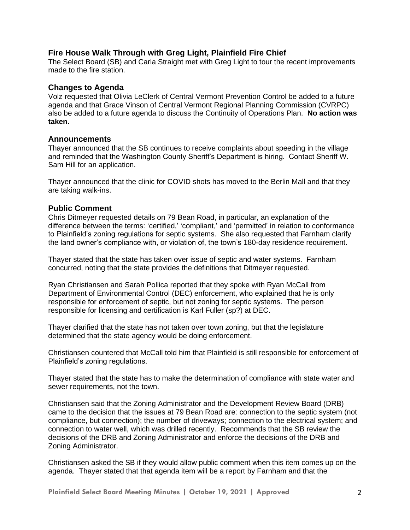#### **Fire House Walk Through with Greg Light, Plainfield Fire Chief**

The Select Board (SB) and Carla Straight met with Greg Light to tour the recent improvements made to the fire station.

#### **Changes to Agenda**

Volz requested that Olivia LeClerk of Central Vermont Prevention Control be added to a future agenda and that Grace Vinson of Central Vermont Regional Planning Commission (CVRPC) also be added to a future agenda to discuss the Continuity of Operations Plan. **No action was taken.**

#### **Announcements**

Thayer announced that the SB continues to receive complaints about speeding in the village and reminded that the Washington County Sheriff's Department is hiring. Contact Sheriff W. Sam Hill for an application.

Thayer announced that the clinic for COVID shots has moved to the Berlin Mall and that they are taking walk-ins.

#### **Public Comment**

Chris Ditmeyer requested details on 79 Bean Road, in particular, an explanation of the difference between the terms: 'certified,' 'compliant,' and 'permitted' in relation to conformance to Plainfield's zoning regulations for septic systems. She also requested that Farnham clarify the land owner's compliance with, or violation of, the town's 180-day residence requirement.

Thayer stated that the state has taken over issue of septic and water systems. Farnham concurred, noting that the state provides the definitions that Ditmeyer requested.

Ryan Christiansen and Sarah Pollica reported that they spoke with Ryan McCall from Department of Environmental Control (DEC) enforcement, who explained that he is only responsible for enforcement of septic, but not zoning for septic systems. The person responsible for licensing and certification is Karl Fuller (sp?) at DEC.

Thayer clarified that the state has not taken over town zoning, but that the legislature determined that the state agency would be doing enforcement.

Christiansen countered that McCall told him that Plainfield is still responsible for enforcement of Plainfield's zoning regulations.

Thayer stated that the state has to make the determination of compliance with state water and sewer requirements, not the town.

Christiansen said that the Zoning Administrator and the Development Review Board (DRB) came to the decision that the issues at 79 Bean Road are: connection to the septic system (not compliance, but connection); the number of driveways; connection to the electrical system; and connection to water well, which was drilled recently. Recommends that the SB review the decisions of the DRB and Zoning Administrator and enforce the decisions of the DRB and Zoning Administrator.

Christiansen asked the SB if they would allow public comment when this item comes up on the agenda. Thayer stated that that agenda item will be a report by Farnham and that the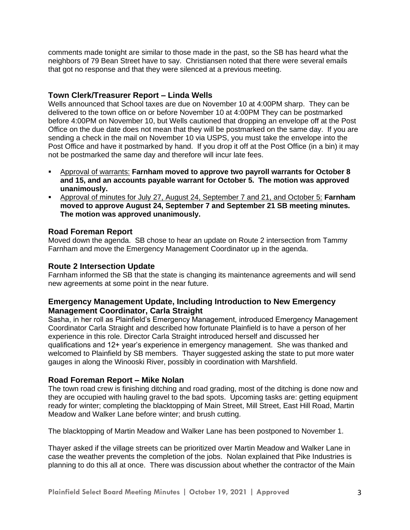comments made tonight are similar to those made in the past, so the SB has heard what the neighbors of 79 Bean Street have to say. Christiansen noted that there were several emails that got no response and that they were silenced at a previous meeting.

## **Town Clerk/Treasurer Report – Linda Wells**

Wells announced that School taxes are due on November 10 at 4:00PM sharp. They can be delivered to the town office on or before November 10 at 4:00PM They can be postmarked before 4:00PM on November 10, but Wells cautioned that dropping an envelope off at the Post Office on the due date does not mean that they will be postmarked on the same day. If you are sending a check in the mail on November 10 via USPS, you must take the envelope into the Post Office and have it postmarked by hand. If you drop it off at the Post Office (in a bin) it may not be postmarked the same day and therefore will incur late fees.

- Approval of warrants: **Farnham moved to approve two payroll warrants for October 8 and 15, and an accounts payable warrant for October 5. The motion was approved unanimously.**
- Approval of minutes for July 27, August 24, September 7 and 21, and October 5: **Farnham moved to approve August 24, September 7 and September 21 SB meeting minutes. The motion was approved unanimously.**

### **Road Foreman Report**

Moved down the agenda. SB chose to hear an update on Route 2 intersection from Tammy Farnham and move the Emergency Management Coordinator up in the agenda.

#### **Route 2 Intersection Update**

Farnham informed the SB that the state is changing its maintenance agreements and will send new agreements at some point in the near future.

### **Emergency Management Update, Including Introduction to New Emergency Management Coordinator, Carla Straight**

Sasha, in her roll as Plainfield's Emergency Management, introduced Emergency Management Coordinator Carla Straight and described how fortunate Plainfield is to have a person of her experience in this role. Director Carla Straight introduced herself and discussed her qualifications and 12+ year's experience in emergency management. She was thanked and welcomed to Plainfield by SB members. Thayer suggested asking the state to put more water gauges in along the Winooski River, possibly in coordination with Marshfield.

#### **Road Foreman Report – Mike Nolan**

The town road crew is finishing ditching and road grading, most of the ditching is done now and they are occupied with hauling gravel to the bad spots. Upcoming tasks are: getting equipment ready for winter; completing the blacktopping of Main Street, Mill Street, East Hill Road, Martin Meadow and Walker Lane before winter; and brush cutting.

The blacktopping of Martin Meadow and Walker Lane has been postponed to November 1.

Thayer asked if the village streets can be prioritized over Martin Meadow and Walker Lane in case the weather prevents the completion of the jobs. Nolan explained that Pike Industries is planning to do this all at once. There was discussion about whether the contractor of the Main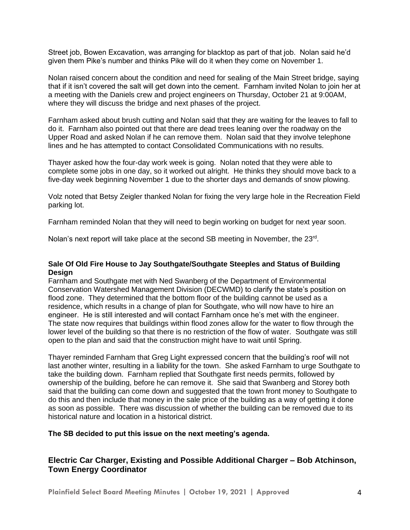Street job, Bowen Excavation, was arranging for blacktop as part of that job. Nolan said he'd given them Pike's number and thinks Pike will do it when they come on November 1.

Nolan raised concern about the condition and need for sealing of the Main Street bridge, saying that if it isn't covered the salt will get down into the cement. Farnham invited Nolan to join her at a meeting with the Daniels crew and project engineers on Thursday, October 21 at 9:00AM, where they will discuss the bridge and next phases of the project.

Farnham asked about brush cutting and Nolan said that they are waiting for the leaves to fall to do it. Farnham also pointed out that there are dead trees leaning over the roadway on the Upper Road and asked Nolan if he can remove them. Nolan said that they involve telephone lines and he has attempted to contact Consolidated Communications with no results.

Thayer asked how the four-day work week is going. Nolan noted that they were able to complete some jobs in one day, so it worked out alright. He thinks they should move back to a five-day week beginning November 1 due to the shorter days and demands of snow plowing.

Volz noted that Betsy Zeigler thanked Nolan for fixing the very large hole in the Recreation Field parking lot.

Farnham reminded Nolan that they will need to begin working on budget for next year soon.

Nolan's next report will take place at the second SB meeting in November, the 23<sup>rd</sup>.

#### **Sale Of Old Fire House to Jay Southgate/Southgate Steeples and Status of Building Design**

Farnham and Southgate met with Ned Swanberg of the Department of Environmental Conservation Watershed Management Division (DECWMD) to clarify the state's position on flood zone. They determined that the bottom floor of the building cannot be used as a residence, which results in a change of plan for Southgate, who will now have to hire an engineer. He is still interested and will contact Farnham once he's met with the engineer. The state now requires that buildings within flood zones allow for the water to flow through the lower level of the building so that there is no restriction of the flow of water. Southgate was still open to the plan and said that the construction might have to wait until Spring.

Thayer reminded Farnham that Greg Light expressed concern that the building's roof will not last another winter, resulting in a liability for the town. She asked Farnham to urge Southgate to take the building down. Farnham replied that Southgate first needs permits, followed by ownership of the building, before he can remove it. She said that Swanberg and Storey both said that the building can come down and suggested that the town front money to Southgate to do this and then include that money in the sale price of the building as a way of getting it done as soon as possible. There was discussion of whether the building can be removed due to its historical nature and location in a historical district.

#### **The SB decided to put this issue on the next meeting's agenda.**

# **Electric Car Charger, Existing and Possible Additional Charger – Bob Atchinson, Town Energy Coordinator**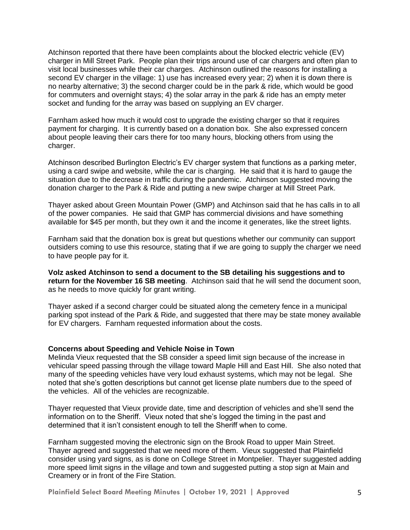Atchinson reported that there have been complaints about the blocked electric vehicle (EV) charger in Mill Street Park. People plan their trips around use of car chargers and often plan to visit local businesses while their car charges. Atchinson outlined the reasons for installing a second EV charger in the village: 1) use has increased every year; 2) when it is down there is no nearby alternative; 3) the second charger could be in the park & ride, which would be good for commuters and overnight stays; 4) the solar array in the park & ride has an empty meter socket and funding for the array was based on supplying an EV charger.

Farnham asked how much it would cost to upgrade the existing charger so that it requires payment for charging. It is currently based on a donation box. She also expressed concern about people leaving their cars there for too many hours, blocking others from using the charger.

Atchinson described Burlington Electric's EV charger system that functions as a parking meter, using a card swipe and website, while the car is charging. He said that it is hard to gauge the situation due to the decrease in traffic during the pandemic. Atchinson suggested moving the donation charger to the Park & Ride and putting a new swipe charger at Mill Street Park.

Thayer asked about Green Mountain Power (GMP) and Atchinson said that he has calls in to all of the power companies. He said that GMP has commercial divisions and have something available for \$45 per month, but they own it and the income it generates, like the street lights.

Farnham said that the donation box is great but questions whether our community can support outsiders coming to use this resource, stating that if we are going to supply the charger we need to have people pay for it.

**Volz asked Atchinson to send a document to the SB detailing his suggestions and to return for the November 16 SB meeting**. Atchinson said that he will send the document soon, as he needs to move quickly for grant writing.

Thayer asked if a second charger could be situated along the cemetery fence in a municipal parking spot instead of the Park & Ride, and suggested that there may be state money available for EV chargers. Farnham requested information about the costs.

#### **Concerns about Speeding and Vehicle Noise in Town**

Melinda Vieux requested that the SB consider a speed limit sign because of the increase in vehicular speed passing through the village toward Maple Hill and East Hill. She also noted that many of the speeding vehicles have very loud exhaust systems, which may not be legal. She noted that she's gotten descriptions but cannot get license plate numbers due to the speed of the vehicles. All of the vehicles are recognizable.

Thayer requested that Vieux provide date, time and description of vehicles and she'll send the information on to the Sheriff. Vieux noted that she's logged the timing in the past and determined that it isn't consistent enough to tell the Sheriff when to come.

Farnham suggested moving the electronic sign on the Brook Road to upper Main Street. Thayer agreed and suggested that we need more of them. Vieux suggested that Plainfield consider using yard signs, as is done on College Street in Montpelier. Thayer suggested adding more speed limit signs in the village and town and suggested putting a stop sign at Main and Creamery or in front of the Fire Station.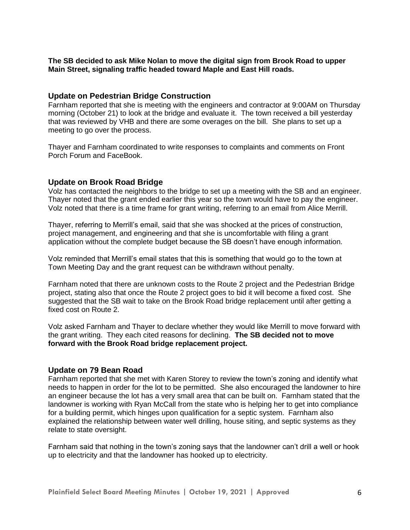#### **The SB decided to ask Mike Nolan to move the digital sign from Brook Road to upper Main Street, signaling traffic headed toward Maple and East Hill roads.**

#### **Update on Pedestrian Bridge Construction**

Farnham reported that she is meeting with the engineers and contractor at 9:00AM on Thursday morning (October 21) to look at the bridge and evaluate it. The town received a bill yesterday that was reviewed by VHB and there are some overages on the bill. She plans to set up a meeting to go over the process.

Thayer and Farnham coordinated to write responses to complaints and comments on Front Porch Forum and FaceBook.

#### **Update on Brook Road Bridge**

Volz has contacted the neighbors to the bridge to set up a meeting with the SB and an engineer. Thayer noted that the grant ended earlier this year so the town would have to pay the engineer. Volz noted that there is a time frame for grant writing, referring to an email from Alice Merrill.

Thayer, referring to Merrill's email, said that she was shocked at the prices of construction, project management, and engineering and that she is uncomfortable with filing a grant application without the complete budget because the SB doesn't have enough information.

Volz reminded that Merrill's email states that this is something that would go to the town at Town Meeting Day and the grant request can be withdrawn without penalty.

Farnham noted that there are unknown costs to the Route 2 project and the Pedestrian Bridge project, stating also that once the Route 2 project goes to bid it will become a fixed cost. She suggested that the SB wait to take on the Brook Road bridge replacement until after getting a fixed cost on Route 2.

Volz asked Farnham and Thayer to declare whether they would like Merrill to move forward with the grant writing. They each cited reasons for declining. **The SB decided not to move forward with the Brook Road bridge replacement project.** 

#### **Update on 79 Bean Road**

Farnham reported that she met with Karen Storey to review the town's zoning and identify what needs to happen in order for the lot to be permitted. She also encouraged the landowner to hire an engineer because the lot has a very small area that can be built on. Farnham stated that the landowner is working with Ryan McCall from the state who is helping her to get into compliance for a building permit, which hinges upon qualification for a septic system. Farnham also explained the relationship between water well drilling, house siting, and septic systems as they relate to state oversight.

Farnham said that nothing in the town's zoning says that the landowner can't drill a well or hook up to electricity and that the landowner has hooked up to electricity.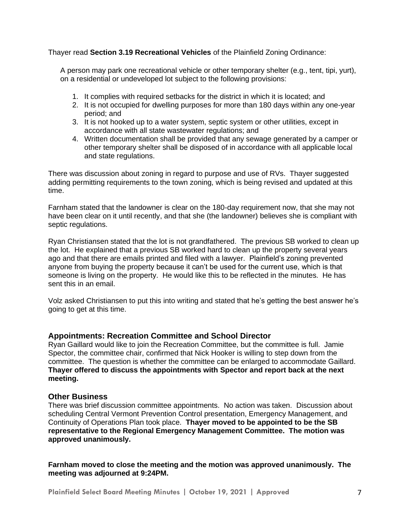Thayer read **Section 3.19 Recreational Vehicles** of the Plainfield Zoning Ordinance:

A person may park one recreational vehicle or other temporary shelter (e.g., tent, tipi, yurt), on a residential or undeveloped lot subject to the following provisions:

- 1. It complies with required setbacks for the district in which it is located; and
- 2. It is not occupied for dwelling purposes for more than 180 days within any one-year period; and
- 3. It is not hooked up to a water system, septic system or other utilities, except in accordance with all state wastewater regulations; and
- 4. Written documentation shall be provided that any sewage generated by a camper or other temporary shelter shall be disposed of in accordance with all applicable local and state regulations.

There was discussion about zoning in regard to purpose and use of RVs. Thayer suggested adding permitting requirements to the town zoning, which is being revised and updated at this time.

Farnham stated that the landowner is clear on the 180-day requirement now, that she may not have been clear on it until recently, and that she (the landowner) believes she is compliant with septic regulations.

Ryan Christiansen stated that the lot is not grandfathered. The previous SB worked to clean up the lot. He explained that a previous SB worked hard to clean up the property several years ago and that there are emails printed and filed with a lawyer. Plainfield's zoning prevented anyone from buying the property because it can't be used for the current use, which is that someone is living on the property. He would like this to be reflected in the minutes. He has sent this in an email.

Volz asked Christiansen to put this into writing and stated that he's getting the best answer he's going to get at this time.

#### **Appointments: Recreation Committee and School Director**

Ryan Gaillard would like to join the Recreation Committee, but the committee is full. Jamie Spector, the committee chair, confirmed that Nick Hooker is willing to step down from the committee. The question is whether the committee can be enlarged to accommodate Gaillard. **Thayer offered to discuss the appointments with Spector and report back at the next meeting.**

#### **Other Business**

There was brief discussion committee appointments. No action was taken. Discussion about scheduling Central Vermont Prevention Control presentation, Emergency Management, and Continuity of Operations Plan took place. **Thayer moved to be appointed to be the SB representative to the Regional Emergency Management Committee. The motion was approved unanimously.**

**Farnham moved to close the meeting and the motion was approved unanimously. The meeting was adjourned at 9:24PM.**